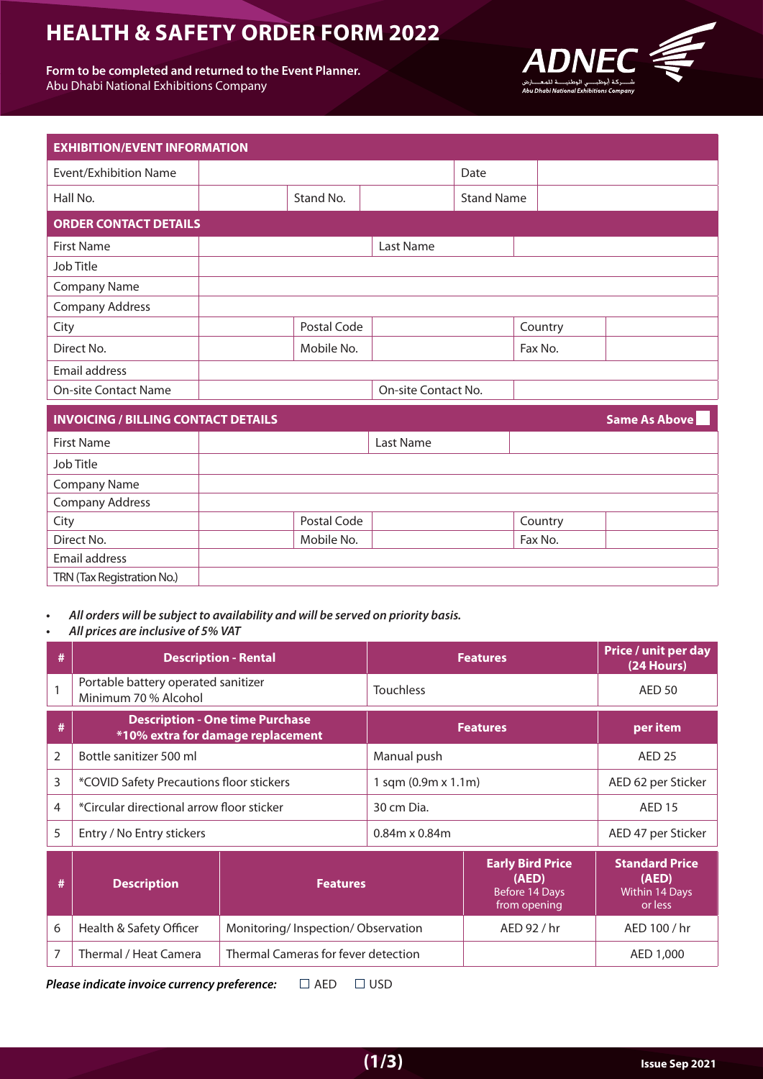# **HEALTH & SAFETY ORDER FORM 2022**

Form to be completed and returned to the Event Planner. Abu Dhabi National Exhibitions Company



| <b>EXHIBITION/EVENT INFORMATION</b>        |             |                     |                   |         |                      |
|--------------------------------------------|-------------|---------------------|-------------------|---------|----------------------|
| <b>Event/Exhibition Name</b>               |             |                     | Date              |         |                      |
| Hall No.                                   | Stand No.   |                     | <b>Stand Name</b> |         |                      |
| <b>ORDER CONTACT DETAILS</b>               |             |                     |                   |         |                      |
| <b>First Name</b>                          |             | Last Name           |                   |         |                      |
| Job Title                                  |             |                     |                   |         |                      |
| <b>Company Name</b>                        |             |                     |                   |         |                      |
| <b>Company Address</b>                     |             |                     |                   |         |                      |
| City                                       | Postal Code |                     |                   | Country |                      |
| Direct No.                                 | Mobile No.  |                     |                   | Fax No. |                      |
| Email address                              |             |                     |                   |         |                      |
| <b>On-site Contact Name</b>                |             | On-site Contact No. |                   |         |                      |
| <b>INVOICING / BILLING CONTACT DETAILS</b> |             |                     |                   |         | <b>Same As Above</b> |
| <b>First Name</b>                          |             | Last Name           |                   |         |                      |
| Job Title                                  |             |                     |                   |         |                      |
| <b>Company Name</b>                        |             |                     |                   |         |                      |
| Company Address                            |             |                     |                   |         |                      |
| City                                       | Postal Code |                     |                   | Country |                      |
| Direct No.                                 | Mobile No.  |                     |                   | Fax No. |                      |
| Email address                              |             |                     |                   |         |                      |

All orders will be subject to availability and will be served on priority basis. All prices are inclusive of 5% VAT

TRN (Tax Registration No.)

|                | <b>Description - Rental</b>                                                 | <b>Features</b>     | Price / unit per day<br>(24 Hours) |
|----------------|-----------------------------------------------------------------------------|---------------------|------------------------------------|
|                | Portable battery operated sanitizer<br>Minimum 70 % Alcohol                 | <b>Touchless</b>    | AED 50                             |
|                | <b>Description - One time Purchase</b><br>*10% extra for damage replacement | <b>Features</b>     | per item                           |
| $\mathfrak{D}$ | Bottle sanitizer 500 ml                                                     | Manual push         | <b>AED 25</b>                      |
| 3              | *COVID Safety Precautions floor stickers                                    | 1 sqm (0.9m x 1.1m) | AED 62 per Sticker                 |
| 4              | *Circular directional arrow floor sticker                                   | 30 cm Dia.          | <b>AED 15</b>                      |
| 5              | Entry / No Entry stickers                                                   | $0.84$ m x $0.84$ m | AED 47 per Sticker                 |

|   | <b>Description</b>      | <b>Features</b>                     | <b>Early Bird Price</b><br>(AED)<br>Before 14 Days<br>from opening | <b>Standard Price</b><br>(AED)<br>Within 14 Days<br>or less |
|---|-------------------------|-------------------------------------|--------------------------------------------------------------------|-------------------------------------------------------------|
| 6 | Health & Safety Officer | Monitoring/Inspection/Observation   | AED 92 / hr                                                        | AED 100 / hr                                                |
|   | Thermal / Heat Camera   | Thermal Cameras for fever detection |                                                                    | AED 1,000                                                   |

**Please indicate invoice currency preference:**  $\Box$  AED  $\Box$  USD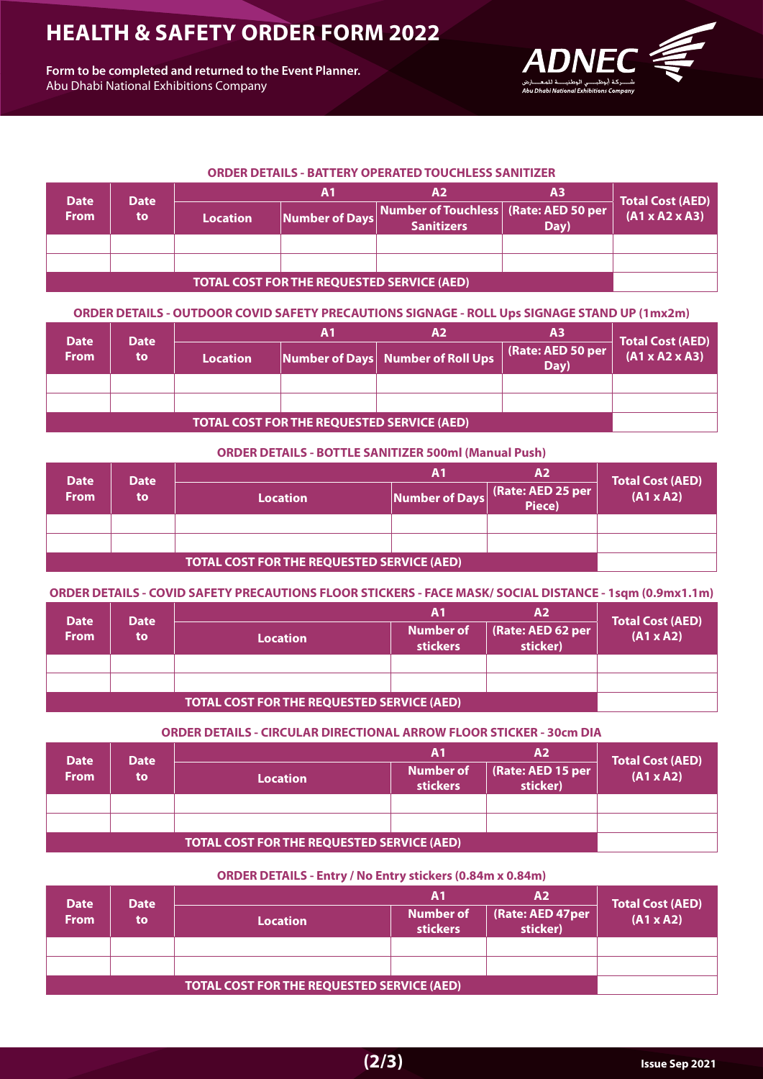## **HEALTH & SAFETY ORDER FORM 2022**

Form to be completed and returned to the Event Planner. Abu Dhabi National Exhibitions Company



### **ORDER DETAILS - BATTERY OPERATED TOUCHLESS SANITIZER**

| <b>Date</b><br>Date                               |    |                 | Α1             |                                                                                  | А3   | <b>Total Cost (AED)</b>    |
|---------------------------------------------------|----|-----------------|----------------|----------------------------------------------------------------------------------|------|----------------------------|
| <b>From</b>                                       | to | <b>Location</b> | Number of Days | Number of Touchless   (Rate: AED 50 per $^\mathsf{\dagger}$<br><b>Sanitizers</b> | Day) | $(A1 \times A2 \times A3)$ |
|                                                   |    |                 |                |                                                                                  |      |                            |
|                                                   |    |                 |                |                                                                                  |      |                            |
| <b>TOTAL COST FOR THE REQUESTED SERVICE (AED)</b> |    |                 |                |                                                                                  |      |                            |

**(MDER DETAILS - OUTDOOR COVID SAFETY PRECAUTIONS SIGNAGE - ROLL Ups SIGNAGE STAND UP (1mx2m)** 

| <b>Date</b>                                       | <b>Date</b> |                 | Α1 | Α2                                | А3                        | Total Cost (AED)           |
|---------------------------------------------------|-------------|-----------------|----|-----------------------------------|---------------------------|----------------------------|
| <b>From</b>                                       | to          | <b>Location</b> |    | Number of Days Number of Roll Ups | (Rate: AED 50 per<br>Day) | $(A1 \times A2 \times A3)$ |
|                                                   |             |                 |    |                                   |                           |                            |
|                                                   |             |                 |    |                                   |                           |                            |
| <b>TOTAL COST FOR THE REQUESTED SERVICE (AED)</b> |             |                 |    |                                   |                           |                            |

#### **ORDER DETAILS - BOTTLE SANITIZER 500ml (Manual Push)**

| <b>Date</b><br><b>Date</b>                        |    | Α2              |                |                             | Total Cost (AED) |
|---------------------------------------------------|----|-----------------|----------------|-----------------------------|------------------|
| <b>From</b>                                       | to | <b>Location</b> | Number of Days | (Rate: AED 25 per<br>Piece) | $(A1 \times A2)$ |
|                                                   |    |                 |                |                             |                  |
|                                                   |    |                 |                |                             |                  |
| <b>TOTAL COST FOR THE REQUESTED SERVICE (AED)</b> |    |                 |                |                             |                  |

## **(ORDER DETAILS - COVID SAFETY PRECAUTIONS FLOOR STICKERS - FACE MASK/ SOCIAL DISTANCE - 1sqm (0.9mx1.1m)**

| <b>Date</b>                                       | <b>Date</b> |                 | Α1                                  | A2                            | <b>Total Cost (AED)</b> |
|---------------------------------------------------|-------------|-----------------|-------------------------------------|-------------------------------|-------------------------|
| <b>From</b>                                       | to          | <b>Location</b> | <b>Number of</b><br><b>stickers</b> | (Rate: AED 62 per<br>sticker) | $(A1 \times A2)$        |
|                                                   |             |                 |                                     |                               |                         |
|                                                   |             |                 |                                     |                               |                         |
| <b>TOTAL COST FOR THE REQUESTED SERVICE (AED)</b> |             |                 |                                     |                               |                         |

## **ORDER DETAILS - CIRCULAR DIRECTIONAL ARROW FLOOR STICKER - 30cm DIA**

| <b>Date</b>                                       | <b>Date</b> |                 | Α1                                  | A2                            | <b>Total Cost (AED)</b> |
|---------------------------------------------------|-------------|-----------------|-------------------------------------|-------------------------------|-------------------------|
| <b>From</b>                                       | to          | <b>Location</b> | <b>Number of</b><br><b>stickers</b> | (Rate: AED 15 per<br>sticker) | $(A1 \times A2)$        |
|                                                   |             |                 |                                     |                               |                         |
|                                                   |             |                 |                                     |                               |                         |
| <b>TOTAL COST FOR THE REQUESTED SERVICE (AED)</b> |             |                 |                                     |                               |                         |

## **ORDER DETAILS - Entry / No Entry stickers (0.84m x 0.84m)**

| <b>Date</b><br><b>Date</b>                        |    | Α1<br><b>A2</b> |                                     |                              | <b>Total Cost (AED)</b> |
|---------------------------------------------------|----|-----------------|-------------------------------------|------------------------------|-------------------------|
| <b>From</b>                                       | to | <b>Location</b> | <b>Number of</b><br><b>stickers</b> | (Rate: AED 47per<br>sticker) | $(A1 \times A2)$        |
|                                                   |    |                 |                                     |                              |                         |
|                                                   |    |                 |                                     |                              |                         |
| <b>TOTAL COST FOR THE REQUESTED SERVICE (AED)</b> |    |                 |                                     |                              |                         |